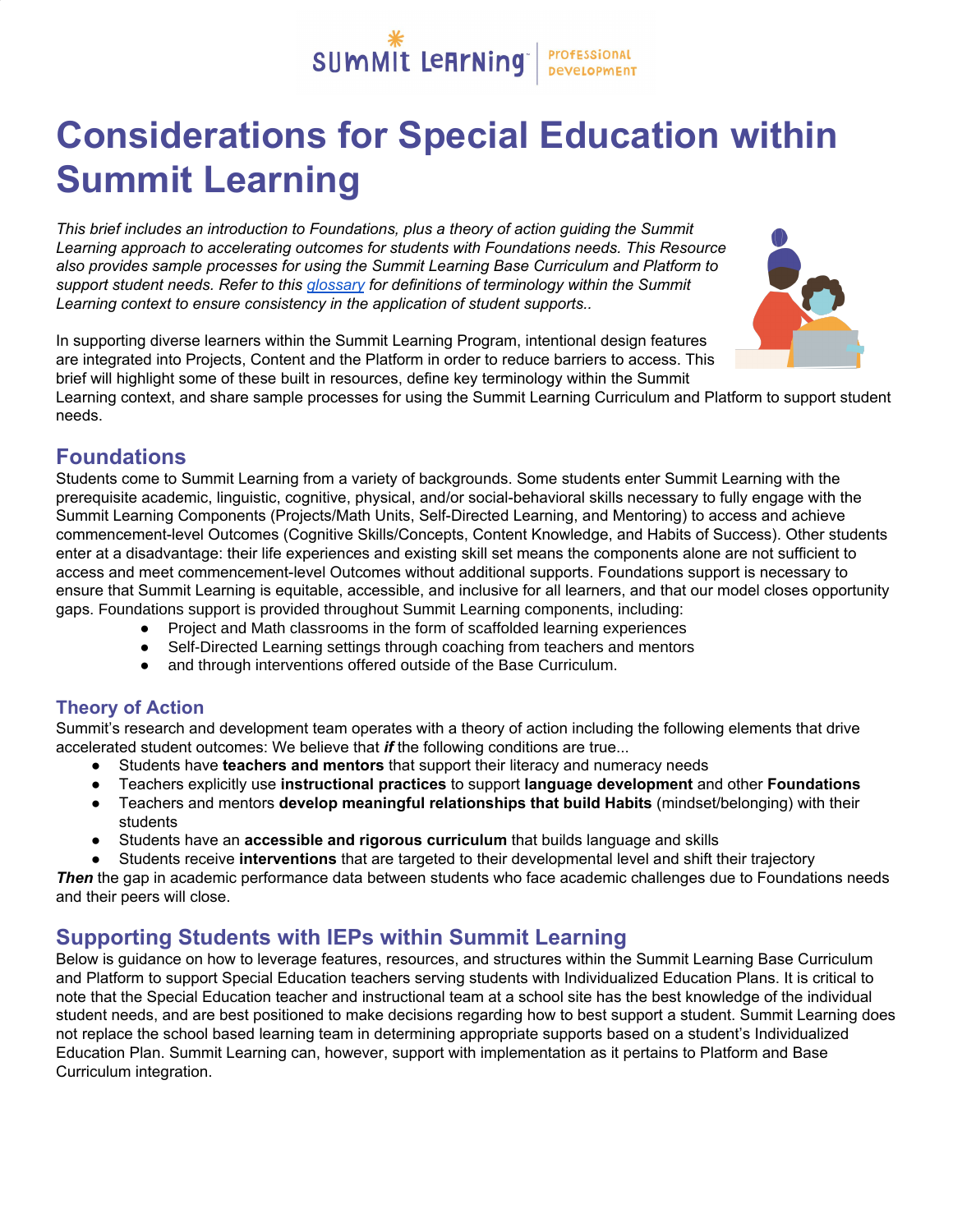

# **Considerations for Special Education within Summit Learning**

*This brief includes an introduction to Foundations, plus a theory of action guiding the Summit Learning approach to accelerating outcomes for students with Foundations needs. This Resource also provides sample processes for using the Summit Learning Base Curriculum and Platform to support student needs. Refer to this [glossary](https://www.summitlearning.org/learn/resources/1415) for definitions of terminology within the Summit Learning context to ensure consistency in the application of student supports..*



In supporting diverse learners within the Summit Learning Program, intentional design features are integrated into Projects, Content and the Platform in order to reduce barriers to access. This brief will highlight some of these built in resources, define key terminology within the Summit

Learning context, and share sample processes for using the Summit Learning Curriculum and Platform to support student needs.

## **Foundations**

Students come to Summit Learning from a variety of backgrounds. Some students enter Summit Learning with the prerequisite academic, linguistic, cognitive, physical, and/or social-behavioral skills necessary to fully engage with the Summit Learning Components (Projects/Math Units, Self-Directed Learning, and Mentoring) to access and achieve commencement-level Outcomes (Cognitive Skills/Concepts, Content Knowledge, and Habits of Success). Other students enter at a disadvantage: their life experiences and existing skill set means the components alone are not sufficient to access and meet commencement-level Outcomes without additional supports. Foundations support is necessary to ensure that Summit Learning is equitable, accessible, and inclusive for all learners, and that our model closes opportunity gaps. Foundations support is provided throughout Summit Learning components, including:

- Project and Math classrooms in the form of scaffolded learning experiences
- Self-Directed Learning settings through coaching from teachers and mentors
- and through interventions offered outside of the Base Curriculum.

### **Theory of Action**

Summit's research and development team operates with a theory of action including the following elements that drive accelerated student outcomes: We believe that *if* the following conditions are true...

- Students have **teachers and mentors** that support their literacy and numeracy needs
- Teachers explicitly use **instructional practices** to support **language development** and other **Foundations**
- Teachers and mentors **develop meaningful relationships that build Habits** (mindset/belonging) with their students
- Students have an **accessible and rigorous curriculum** that builds language and skills
- Students receive **interventions** that are targeted to their developmental level and shift their trajectory

*Then* the gap in academic performance data between students who face academic challenges due to Foundations needs and their peers will close.

## **Supporting Students with IEPs within Summit Learning**

Below is guidance on how to leverage features, resources, and structures within the Summit Learning Base Curriculum and Platform to support Special Education teachers serving students with Individualized Education Plans. It is critical to note that the Special Education teacher and instructional team at a school site has the best knowledge of the individual student needs, and are best positioned to make decisions regarding how to best support a student. Summit Learning does not replace the school based learning team in determining appropriate supports based on a student's Individualized Education Plan. Summit Learning can, however, support with implementation as it pertains to Platform and Base Curriculum integration.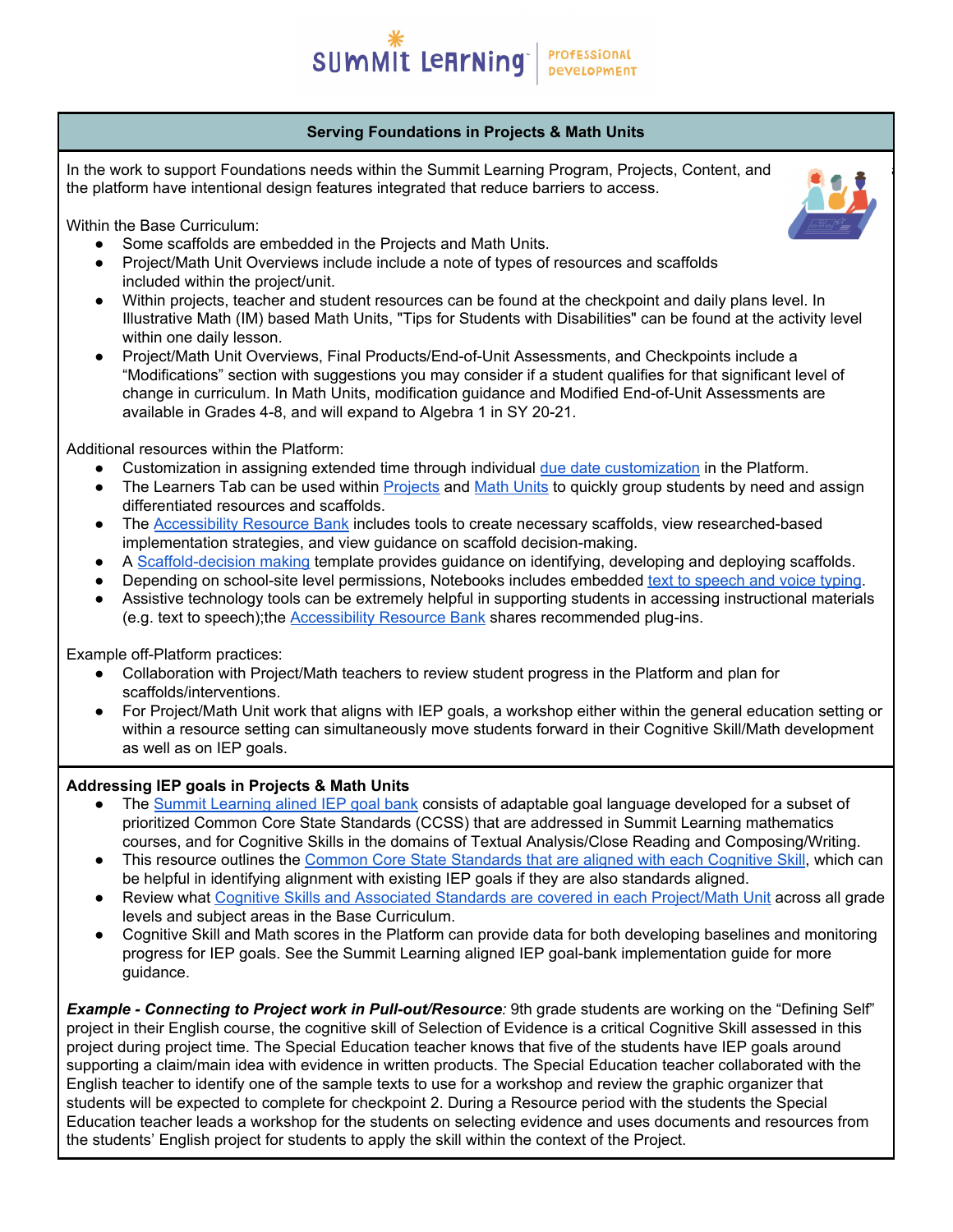

#### **Serving Foundations in Projects & Math Units**

In the work to support Foundations needs within the Summit Learning Program, Projects, Content, and the platform have intentional design features integrated that reduce barriers to access.



Within the Base Curriculum:

- Some scaffolds are embedded in the Projects and Math Units.
- Project/Math Unit Overviews include include a note of types of resources and scaffolds included within the project/unit.
- Within projects, teacher and student resources can be found at the checkpoint and daily plans level. In Illustrative Math (IM) based Math Units, "Tips for Students with Disabilities" can be found at the activity level within one daily lesson.
- Project/Math Unit Overviews, Final Products/End-of-Unit Assessments, and Checkpoints include a "Modifications" section with suggestions you may consider if a student qualifies for that significant level of change in curriculum. In Math Units, modification guidance and Modified End-of-Unit Assessments are available in Grades 4-8, and will expand to Algebra 1 in SY 20-21.

Additional resources within the Platform:

- Customization in assigning extended time through individual due date [customization](https://help.summitlearning.org/hc/en-us/articles/226642587-How-do-I-change-Project-due-dates-?flash_digest=cf6ef6ab5bfd7a380037d3cd2c3377c34ea69682) in the Platform.
- The Learners Tab can be used within **[Projects](https://help.summitlearning.org/hc/en-us/articles/360001426828-How-do-I-use-the-Learners-tab-to-personalize-Project-assignments-)** and [Math](https://help.summitlearning.org/hc/en-us/articles/360001595908-How-do-I-use-the-Learners-tab-to-personalize-Math-Units-) Units to quickly group students by need and assign differentiated resources and scaffolds.
- The **[Accessibility](https://www.summitlearning.org/resources/accessibility-resource-bank) Resource Bank** includes tools to create necessary scaffolds, view researched-based implementation strategies, and view guidance on scaffold decision-making.
- A [Scaffold-decision](https://www.summitlearning.org/learn/resources/1703) making template provides guidance on identifying, developing and deploying scaffolds.
- Depending on school-site level permissions, Notebooks includes embedded text to [speech](https://help.summitlearning.org/hc/en-us/articles/360033904093-How-do-I-use-Text-to-Speech-and-Voice-Typing-tools-) and voice typing.
- Assistive technology tools can be extremely helpful in supporting students in accessing instructional materials (e.g. text to speech);the [Accessibility](https://www.summitlearning.org/resources/accessibility-resource-bank) Resource Bank shares recommended plug-ins.

Example off-Platform practices:

- Collaboration with Project/Math teachers to review student progress in the Platform and plan for scaffolds/interventions.
- For Project/Math Unit work that aligns with IEP goals, a workshop either within the general education setting or within a resource setting can simultaneously move students forward in their Cognitive Skill/Math development as well as on IEP goals.

#### **Addressing IEP goals in Projects & Math Units**

- The Summit [Learning](https://www.summitlearning.org/learn/resources/2745) alined IEP goal bank consists of adaptable goal language developed for a subset of prioritized Common Core State Standards (CCSS) that are addressed in Summit Learning mathematics courses, and for Cognitive Skills in the domains of Textual Analysis/Close Reading and Composing/Writing.
- This resource outlines the Common Core State [Standards](https://www.summitlearning.org/learn/resources/2394) that are aligned with each Cognitive Skill, which can be helpful in identifying alignment with existing IEP goals if they are also standards aligned.
- Review what Cognitive Skills and Associated Standards are covered in each [Project/Math](https://help.summitlearning.org/hc/en-us/articles/115001437927-What-standards-are-covered-by-the-Base-Curriculum-) Unit across all grade levels and subject areas in the Base Curriculum.
- Cognitive Skill and Math scores in the Platform can provide data for both developing baselines and monitoring progress for IEP goals. See the Summit Learning aligned IEP goal-bank implementation guide for more guidance.

*Example - Connecting to Project work in Pull-out/Resource:* 9th grade students are working on the "Defining Self" project in their English course, the cognitive skill of Selection of Evidence is a critical Cognitive Skill assessed in this project during project time. The Special Education teacher knows that five of the students have IEP goals around supporting a claim/main idea with evidence in written products. The Special Education teacher collaborated with the English teacher to identify one of the sample texts to use for a workshop and review the graphic organizer that students will be expected to complete for checkpoint 2. During a Resource period with the students the Special Education teacher leads a workshop for the students on selecting evidence and uses documents and resources from the students' English project for students to apply the skill within the context of the Project.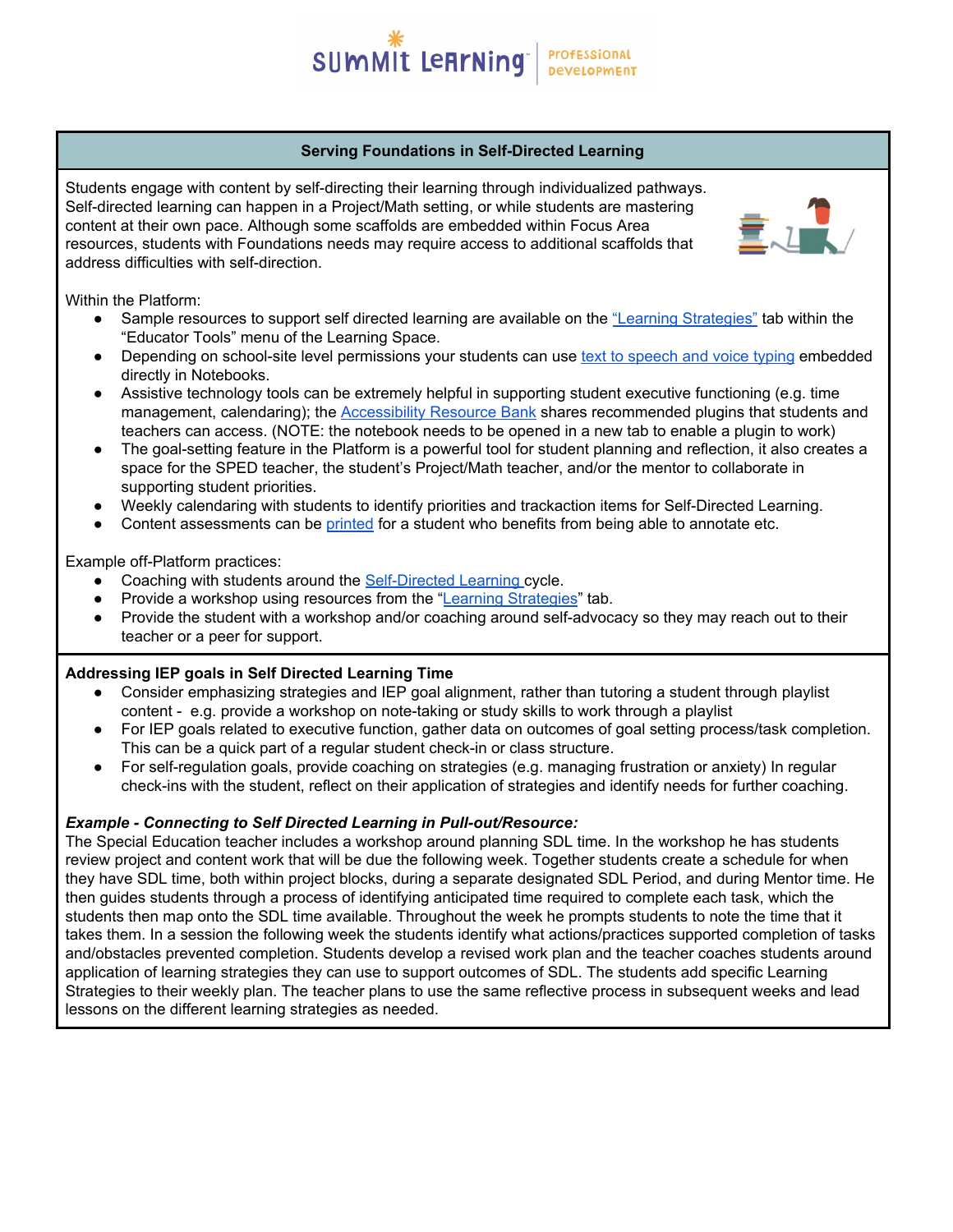

#### **Serving Foundations in Self-Directed Learning**

Students engage with content by self-directing their learning through individualized pathways. Self-directed learning can happen in a Project/Math setting, or while students are mastering content at their own pace. Although some scaffolds are embedded within Focus Area resources, students with Foundations needs may require access to additional scaffolds that address difficulties with self-direction.



Within the Platform:

- Sample resources to support self directed learning are available on the "Learning [Strategies"](https://www.summitlearning.org/resources/learning_strategies) tab within the "Educator Tools" menu of the Learning Space.
- Depending on school-site level permissions your students can use text to [speech](https://help.summitlearning.org/hc/en-us/articles/360033904093-How-do-I-use-Text-to-Speech-and-Voice-Typing-tools-) and voice typing embedded directly in Notebooks.
- Assistive technology tools can be extremely helpful in supporting student executive functioning (e.g. time management, calendaring); the [Accessibility](https://www.summitlearning.org/resources/accessibility-resource-bank) Resource Bank shares recommended plugins that students and teachers can access. (NOTE: the notebook needs to be opened in a new tab to enable a plugin to work)
- The goal-setting feature in the Platform is a powerful tool for student planning and reflection, it also creates a space for the SPED teacher, the student's Project/Math teacher, and/or the mentor to collaborate in supporting student priorities.
- Weekly calendaring with students to identify priorities and trackaction items for Self-Directed Learning.
- Content assessments can be [printed](https://help.summitlearning.org/hc/en-us/articles/211021697-How-do-I-print-Content-Assessments-) for a student who benefits from being able to annotate etc.

Example off-Platform practices:

- Coaching with students around the [Self-Directed](https://www.summitlearning.org/learn/resources/1375) Learning cycle.
- Provide a workshop using resources from the "Learning [Strategies](https://www.summitlearning.org/resources/learning_strategies)" tab.
- Provide the student with a workshop and/or coaching around self-advocacy so they may reach out to their teacher or a peer for support.

#### **Addressing IEP goals in Self Directed Learning Time**

- Consider emphasizing strategies and IEP goal alignment, rather than tutoring a student through playlist content - e.g. provide a workshop on note-taking or study skills to work through a playlist
- For IEP goals related to executive function, gather data on outcomes of goal setting process/task completion. This can be a quick part of a regular student check-in or class structure.
- For self-regulation goals, provide coaching on strategies (e.g. managing frustration or anxiety) In regular check-ins with the student, reflect on their application of strategies and identify needs for further coaching.

#### *Example - Connecting to Self Directed Learning in Pull-out/Resource:*

The Special Education teacher includes a workshop around planning SDL time. In the workshop he has students review project and content work that will be due the following week. Together students create a schedule for when they have SDL time, both within project blocks, during a separate designated SDL Period, and during Mentor time. He then guides students through a process of identifying anticipated time required to complete each task, which the students then map onto the SDL time available. Throughout the week he prompts students to note the time that it takes them. In a session the following week the students identify what actions/practices supported completion of tasks and/obstacles prevented completion. Students develop a revised work plan and the teacher coaches students around application of learning strategies they can use to support outcomes of SDL. The students add specific Learning Strategies to their weekly plan. The teacher plans to use the same reflective process in subsequent weeks and lead lessons on the different learning strategies as needed.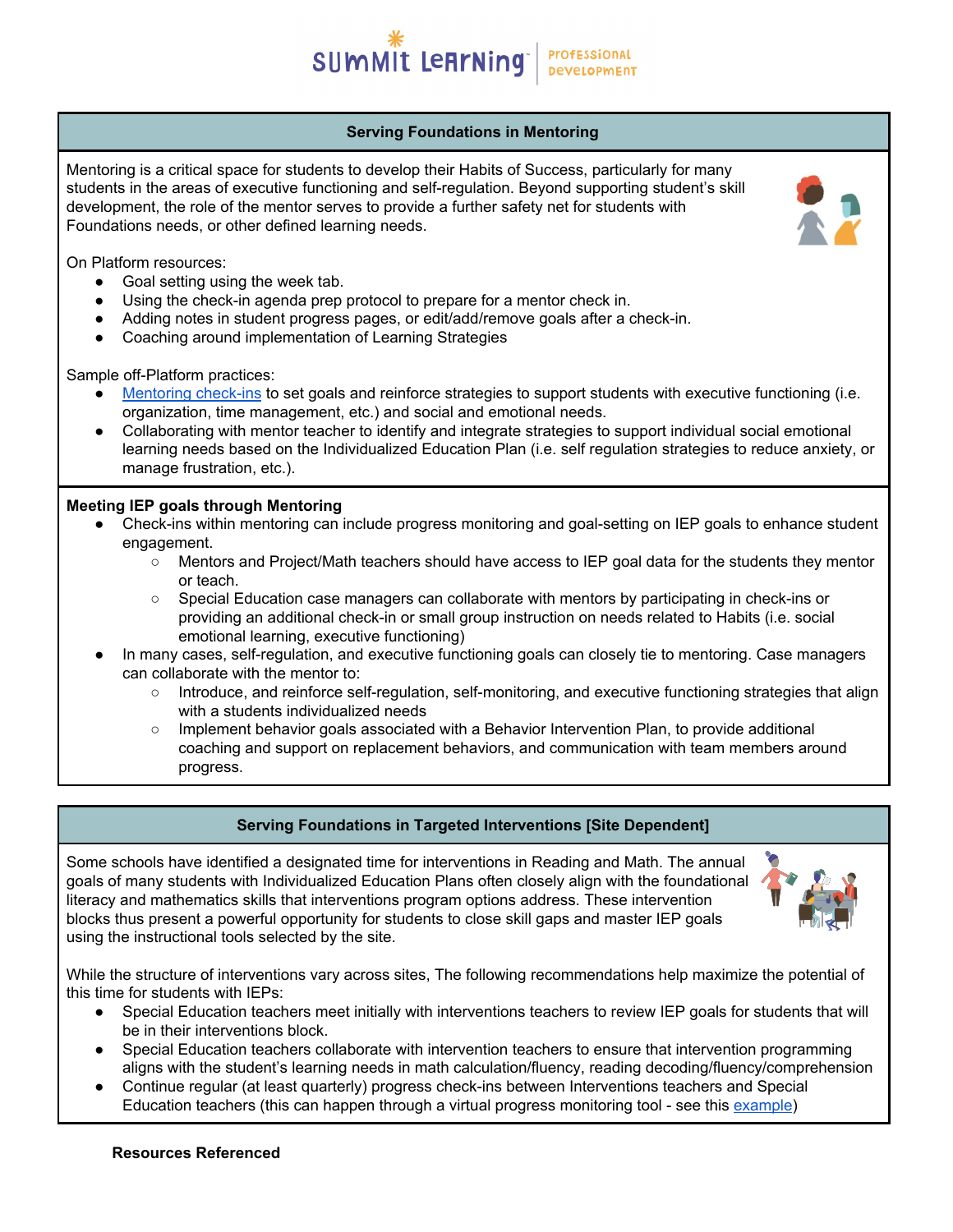

#### **Serving Foundations in Mentoring**

Mentoring is a critical space for students to develop their Habits of Success, particularly for many students in the areas of executive functioning and self-regulation. Beyond supporting student's skill development, the role of the mentor serves to provide a further safety net for students with Foundations needs, or other defined learning needs.



On Platform resources:

- $\bullet$  Goal setting using the week tab.
- Using the check-in agenda prep protocol to prepare for a mentor check in.
- Adding notes in student progress pages, or edit/add/remove goals after a check-in.
- Coaching around implementation of Learning Strategies

Sample off-Platform practices:

- [Mentoring](https://www.summitlearning.org/learn/resources/1484) check-ins to set goals and reinforce strategies to support students with executive functioning (i.e. organization, time management, etc.) and social and emotional needs.
- Collaborating with mentor teacher to identify and integrate strategies to support individual social emotional learning needs based on the Individualized Education Plan (i.e. self regulation strategies to reduce anxiety, or manage frustration, etc.).

#### **Meeting IEP goals through Mentoring**

- Check-ins within mentoring can include progress monitoring and goal-setting on IEP goals to enhance student engagement.
	- Mentors and Project/Math teachers should have access to IEP goal data for the students they mentor or teach.
	- Special Education case managers can collaborate with mentors by participating in check-ins or providing an additional check-in or small group instruction on needs related to Habits (i.e. social emotional learning, executive functioning)
- In many cases, self-regulation, and executive functioning goals can closely tie to mentoring. Case managers can collaborate with the mentor to:
	- Introduce, and reinforce self-regulation, self-monitoring, and executive functioning strategies that align with a students individualized needs
	- Implement behavior goals associated with a Behavior Intervention Plan, to provide additional coaching and support on replacement behaviors, and communication with team members around progress.

#### **Serving Foundations in Targeted Interventions [Site Dependent]**

Some schools have identified a designated time for interventions in Reading and Math. The annual goals of many students with Individualized Education Plans often closely align with the foundational literacy and mathematics skills that interventions program options address. These intervention blocks thus present a powerful opportunity for students to close skill gaps and master IEP goals using the instructional tools selected by the site.



While the structure of interventions vary across sites, The following recommendations help maximize the potential of this time for students with IEPs:

- Special Education teachers meet initially with interventions teachers to review IEP goals for students that will be in their interventions block.
- Special Education teachers collaborate with intervention teachers to ensure that intervention programming aligns with the student's learning needs in math calculation/fluency, reading decoding/fluency/comprehension
- Continue regular (at least quarterly) progress check-ins between Interventions teachers and Special Education teachers (this can happen through a virtual progress monitoring tool - see this [example](https://www.summitlearning.org/learn/resources/1710))